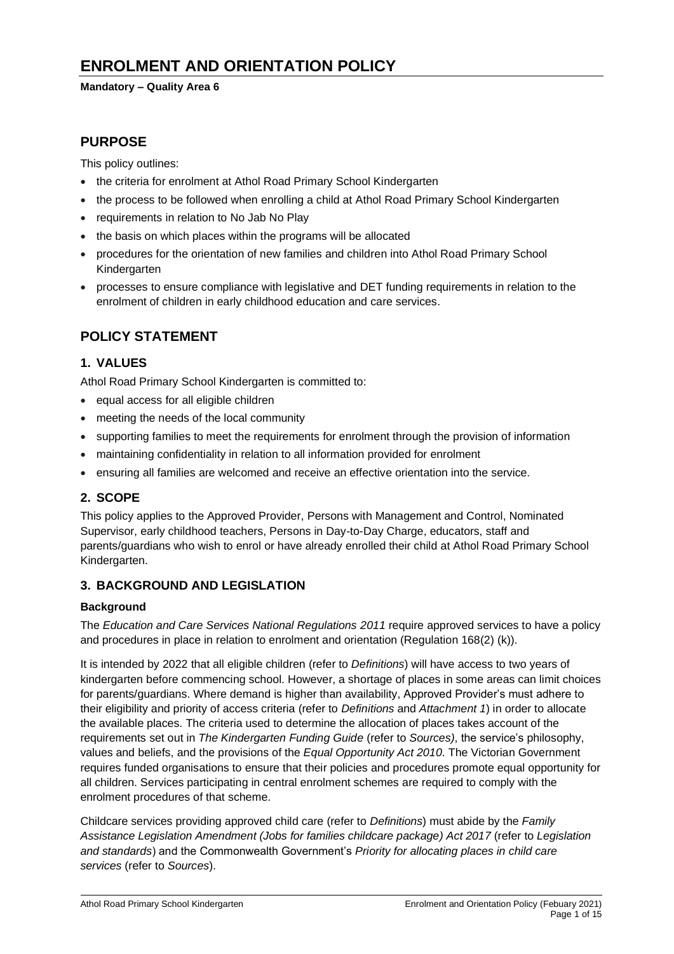# **ENROLMENT AND ORIENTATION POLICY**

#### **Mandatory – Quality Area 6**

## **PURPOSE**

This policy outlines:

- the criteria for enrolment at Athol Road Primary School Kindergarten
- the process to be followed when enrolling a child at Athol Road Primary School Kindergarten
- requirements in relation to No Jab No Play
- the basis on which places within the programs will be allocated
- procedures for the orientation of new families and children into Athol Road Primary School Kindergarten
- processes to ensure compliance with legislative and DET funding requirements in relation to the enrolment of children in early childhood education and care services.

# **POLICY STATEMENT**

## **1. VALUES**

Athol Road Primary School Kindergarten is committed to:

- equal access for all eligible children
- meeting the needs of the local community
- supporting families to meet the requirements for enrolment through the provision of information
- maintaining confidentiality in relation to all information provided for enrolment
- ensuring all families are welcomed and receive an effective orientation into the service.

## **2. SCOPE**

This policy applies to the Approved Provider, Persons with Management and Control, Nominated Supervisor, early childhood teachers, Persons in Day-to-Day Charge, educators, staff and parents/guardians who wish to enrol or have already enrolled their child at Athol Road Primary School Kindergarten.

### **3. BACKGROUND AND LEGISLATION**

#### **Background**

The *Education and Care Services National Regulations 2011* require approved services to have a policy and procedures in place in relation to enrolment and orientation (Regulation 168(2) (k)).

It is intended by 2022 that all eligible children (refer to *Definitions*) will have access to two years of kindergarten before commencing school. However, a shortage of places in some areas can limit choices for parents/guardians. Where demand is higher than availability, Approved Provider's must adhere to their eligibility and priority of access criteria (refer to *Definitions* and *Attachment 1*) in order to allocate the available places. The criteria used to determine the allocation of places takes account of the requirements set out in *The Kindergarten Funding Guide* (refer to *Sources)*, the service's philosophy, values and beliefs, and the provisions of the *Equal Opportunity Act 2010*. The Victorian Government requires funded organisations to ensure that their policies and procedures promote equal opportunity for all children. Services participating in central enrolment schemes are required to comply with the enrolment procedures of that scheme.

Childcare services providing approved child care (refer to *Definitions*) must abide by the *Family Assistance Legislation Amendment (Jobs for families childcare package) Act 2017* (refer to *Legislation and standards*) and the Commonwealth Government's *Priority for allocating places in child care services* (refer to *Sources*).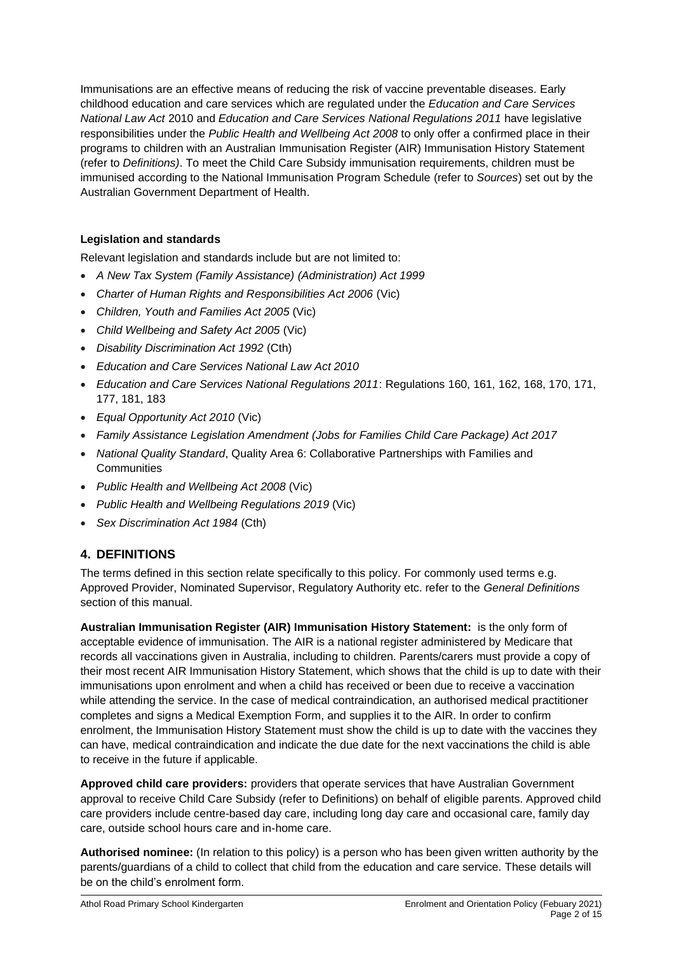Immunisations are an effective means of reducing the risk of vaccine preventable diseases. Early childhood education and care services which are regulated under the *Education and Care Services National Law Act* 2010 and *Education and Care Services National Regulations 2011* have legislative responsibilities under the *Public Health and Wellbeing Act 2008* to only offer a confirmed place in their programs to children with an Australian Immunisation Register (AIR) Immunisation History Statement (refer to *Definitions)*. To meet the Child Care Subsidy immunisation requirements, children must be immunised according to the National Immunisation Program Schedule (refer to *Sources*) set out by the Australian Government Department of Health.

## **Legislation and standards**

Relevant legislation and standards include but are not limited to:

- *A New Tax System (Family Assistance) (Administration) Act 1999*
- *[Charter of Human Rights and Responsibilities Act 2006](http://www.legislation.vic.gov.au/Domino/Web_Notes/LDMS/PubStatbook.nsf/f932b66241ecf1b7ca256e92000e23be/54d73763ef9dca36ca2571b6002428b0!OpenDocument)* (Vic)
- *Children, Youth and Families Act 2005* (Vic)
- *Child Wellbeing and Safety Act 2005* (Vic)
- *Disability Discrimination Act 1992* (Cth)
- *Education and Care Services National Law Act 2010*
- *Education and Care Services National Regulations 2011*: Regulations 160, 161, 162, 168, 170, 171, 177, 181, 183
- *Equal Opportunity Act 2010* (Vic)
- *Family Assistance Legislation Amendment (Jobs for Families Child Care Package) Act 2017*
- *National Quality Standard*, Quality Area 6: Collaborative Partnerships with Families and **Communities**
- *Public Health and Wellbeing Act 2008* (Vic)
- *Public Health and Wellbeing Regulations 2019* (Vic)
- *Sex Discrimination Act 1984* (Cth)

# **4. DEFINITIONS**

The terms defined in this section relate specifically to this policy. For commonly used terms e.g. Approved Provider, Nominated Supervisor, Regulatory Authority etc. refer to the *General Definitions* section of this manual.

**Australian Immunisation Register (AIR) Immunisation History Statement:** is the only form of acceptable evidence of immunisation. The AIR is a national register administered by Medicare that records all vaccinations given in Australia, including to children. Parents/carers must provide a copy of their most recent AIR Immunisation History Statement, which shows that the child is up to date with their immunisations upon enrolment and when a child has received or been due to receive a vaccination while attending the service. In the case of medical contraindication, an authorised medical practitioner completes and signs a Medical Exemption Form, and supplies it to the AIR. In order to confirm enrolment, the Immunisation History Statement must show the child is up to date with the vaccines they can have, medical contraindication and indicate the due date for the next vaccinations the child is able to receive in the future if applicable.

**Approved child care providers:** providers that operate services that have Australian Government approval to receive Child Care Subsidy (refer to Definitions) on behalf of eligible parents. Approved child care providers include centre-based day care, including long day care and occasional care, family day care, outside school hours care and in-home care.

**Authorised nominee:** (In relation to this policy) is a person who has been given written authority by the parents/guardians of a child to collect that child from the education and care service. These details will be on the child's enrolment form.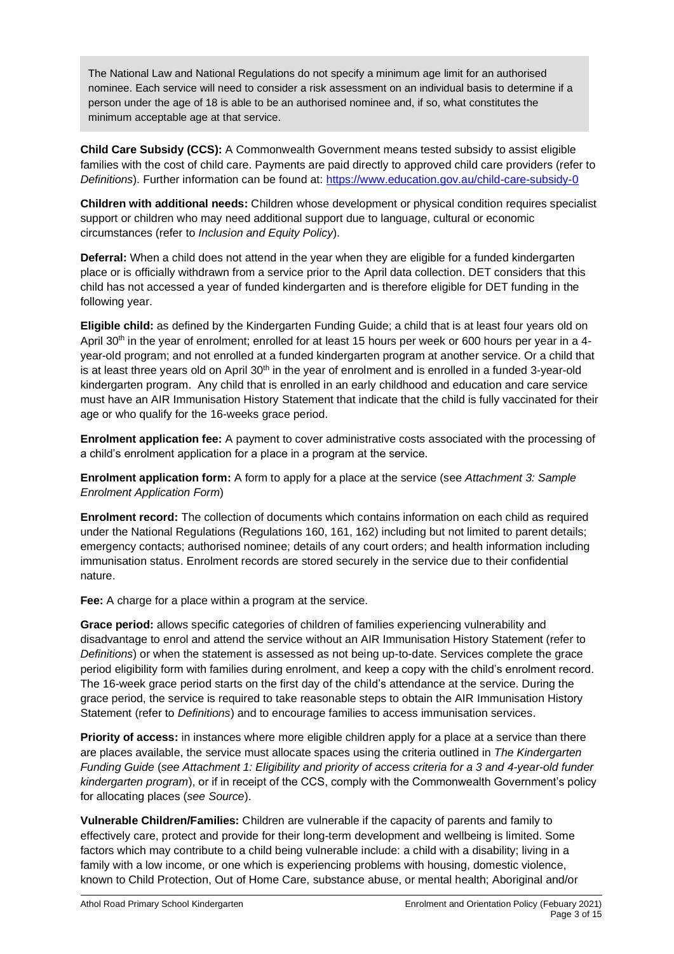The National Law and National Regulations do not specify a minimum age limit for an authorised nominee. Each service will need to consider a risk assessment on an individual basis to determine if a person under the age of 18 is able to be an authorised nominee and, if so, what constitutes the minimum acceptable age at that service.

**Child Care Subsidy (CCS):** A Commonwealth Government means tested subsidy to assist eligible families with the cost of child care. Payments are paid directly to approved child care providers (refer to *Definitions*). Further information can be found at:<https://www.education.gov.au/child-care-subsidy-0>

**Children with additional needs:** Children whose development or physical condition requires specialist support or children who may need additional support due to language, cultural or economic circumstances (refer to *Inclusion and Equity Policy*).

**Deferral:** When a child does not attend in the year when they are eligible for a funded kindergarten place or is officially withdrawn from a service prior to the April data collection. DET considers that this child has not accessed a year of funded kindergarten and is therefore eligible for DET funding in the following year.

**Eligible child:** as defined by the Kindergarten Funding Guide; a child that is at least four years old on April 30<sup>th</sup> in the year of enrolment; enrolled for at least 15 hours per week or 600 hours per year in a 4year-old program; and not enrolled at a funded kindergarten program at another service. Or a child that is at least three years old on April 30<sup>th</sup> in the year of enrolment and is enrolled in a funded 3-year-old kindergarten program. Any child that is enrolled in an early childhood and education and care service must have an AIR Immunisation History Statement that indicate that the child is fully vaccinated for their age or who qualify for the 16-weeks grace period.

**Enrolment application fee:** A payment to cover administrative costs associated with the processing of a child's enrolment application for a place in a program at the service.

**Enrolment application form:** A form to apply for a place at the service (see *Attachment 3: Sample Enrolment Application Form*)

**Enrolment record:** The collection of documents which contains information on each child as required under the National Regulations (Regulations 160, 161, 162) including but not limited to parent details; emergency contacts; authorised nominee; details of any court orders; and health information including immunisation status. Enrolment records are stored securely in the service due to their confidential nature.

**Fee:** A charge for a place within a program at the service.

**Grace period:** allows specific categories of children of families experiencing vulnerability and disadvantage to enrol and attend the service without an AIR Immunisation History Statement (refer to *Definitions*) or when the statement is assessed as not being up-to-date. Services complete the grace period eligibility form with families during enrolment, and keep a copy with the child's enrolment record. The 16-week grace period starts on the first day of the child's attendance at the service. During the grace period, the service is required to take reasonable steps to obtain the AIR Immunisation History Statement (refer to *Definitions*) and to encourage families to access immunisation services.

**Priority of access:** in instances where more eligible children apply for a place at a service than there are places available, the service must allocate spaces using the criteria outlined in *The Kindergarten Funding Guide* (*see Attachment 1: Eligibility and priority of access criteria for a 3 and 4-year-old funder kindergarten program*), or if in receipt of the CCS, comply with the Commonwealth Government's policy for allocating places (*see Source*).

**Vulnerable Children/Families:** Children are vulnerable if the capacity of parents and family to effectively care, protect and provide for their long-term development and wellbeing is limited. Some factors which may contribute to a child being vulnerable include: a child with a disability; living in a family with a low income, or one which is experiencing problems with housing, domestic violence, known to Child Protection, Out of Home Care, substance abuse, or mental health; Aboriginal and/or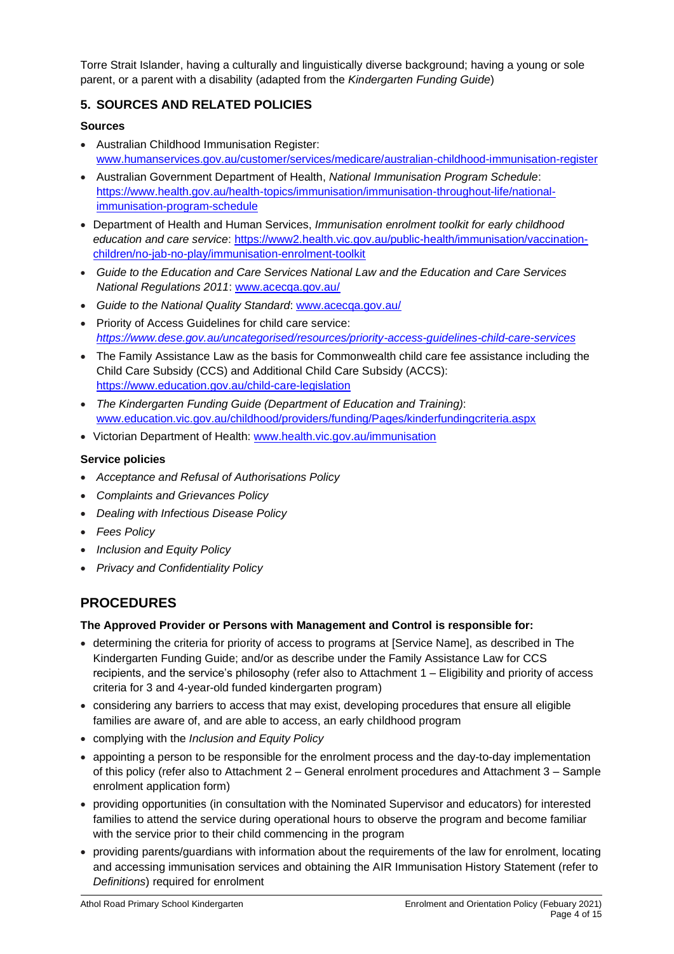Torre Strait Islander, having a culturally and linguistically diverse background; having a young or sole parent, or a parent with a disability (adapted from the *Kindergarten Funding Guide*)

## **5. SOURCES AND RELATED POLICIES**

#### **Sources**

- Australian Childhood Immunisation Register: [www.humanservices.gov.au/customer/services/medicare/australian-childhood-immunisation-register](http://www.humanservices.gov.au/customer/services/medicare/australian-childhood-immunisation-register)
- Australian Government Department of Health, *National Immunisation Program Schedule*: [https://www.health.gov.au/health-topics/immunisation/immunisation-throughout-life/national](https://www.health.gov.au/health-topics/immunisation/immunisation-throughout-life/national-immunisation-program-schedule)[immunisation-program-schedule](https://www.health.gov.au/health-topics/immunisation/immunisation-throughout-life/national-immunisation-program-schedule)
- Department of Health and Human Services, *Immunisation enrolment toolkit for early childhood education and care service*: [https://www2.health.vic.gov.au/public-health/immunisation/vaccination](https://www2.health.vic.gov.au/public-health/immunisation/vaccination-children/no-jab-no-play/immunisation-enrolment-toolkit)[children/no-jab-no-play/immunisation-enrolment-toolkit](https://www2.health.vic.gov.au/public-health/immunisation/vaccination-children/no-jab-no-play/immunisation-enrolment-toolkit)
- *Guide to the Education and Care Services National Law and the Education and Care Services National Regulations 2011*: [www.acecqa.gov.au/](http://www.acecqa.gov.au/)
- *Guide to the National Quality Standard*: [www.acecqa.gov.au/](http://www.acecqa.gov.au/)
- Priority of Access Guidelines for child care service: *<https://www.dese.gov.au/uncategorised/resources/priority-access-guidelines-child-care-services>*
- The Family Assistance Law as the basis for Commonwealth child care fee assistance including the Child Care Subsidy (CCS) and Additional Child Care Subsidy (ACCS): <https://www.education.gov.au/child-care-legislation>
- *The Kindergarten Funding Guide (Department of Education and Training)*: [www.education.vic.gov.au/childhood/providers/funding/Pages/kinderfundingcriteria.aspx](http://www.education.vic.gov.au/childhood/providers/funding/Pages/kinderfundingcriteria.aspx)
- Victorian Department of Health: [www.health.vic.gov.au/immunisation](http://www.health.vic.gov.au/immunisation)

#### **Service policies**

- *Acceptance and Refusal of Authorisations Policy*
- *Complaints and Grievances Policy*
- *Dealing with Infectious Disease Policy*
- *Fees Policy*
- *Inclusion and Equity Policy*
- *Privacy and Confidentiality Policy*

# **PROCEDURES**

#### **The Approved Provider or Persons with Management and Control is responsible for:**

- determining the criteria for priority of access to programs at [Service Name], as described in The Kindergarten Funding Guide; and/or as describe under the Family Assistance Law for CCS recipients, and the service's philosophy (refer also to Attachment 1 – Eligibility and priority of access criteria for 3 and 4-year-old funded kindergarten program)
- considering any barriers to access that may exist, developing procedures that ensure all eligible families are aware of, and are able to access, an early childhood program
- complying with the *Inclusion and Equity Policy*
- appointing a person to be responsible for the enrolment process and the day-to-day implementation of this policy (refer also to Attachment 2 – General enrolment procedures and Attachment 3 – Sample enrolment application form)
- providing opportunities (in consultation with the Nominated Supervisor and educators) for interested families to attend the service during operational hours to observe the program and become familiar with the service prior to their child commencing in the program
- providing parents/guardians with information about the requirements of the law for enrolment, locating and accessing immunisation services and obtaining the AIR Immunisation History Statement (refer to *Definitions*) required for enrolment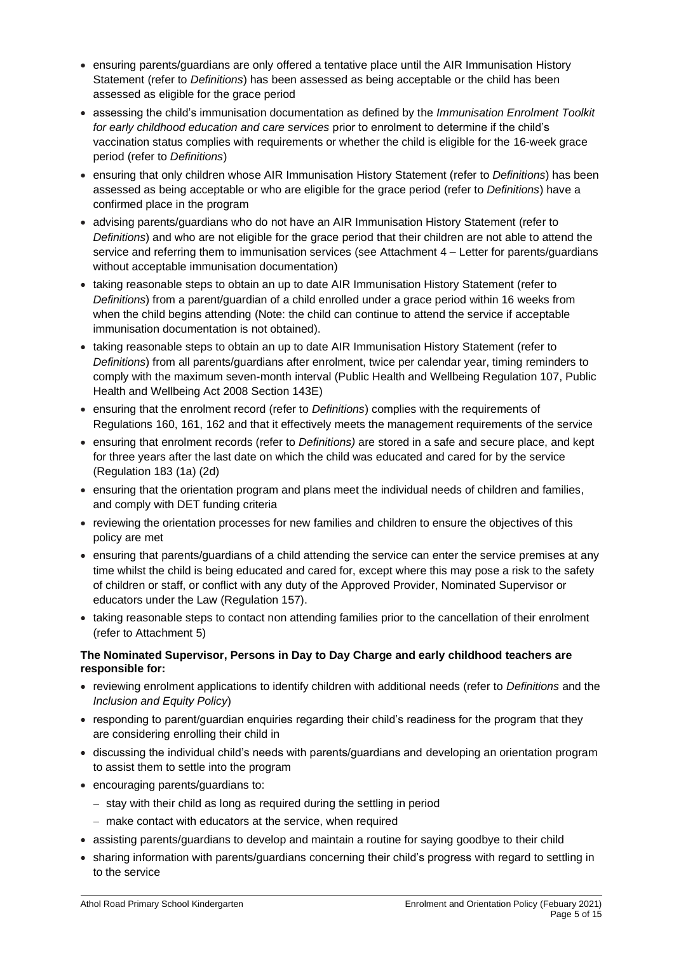- ensuring parents/guardians are only offered a tentative place until the AIR Immunisation History Statement (refer to *Definitions*) has been assessed as being acceptable or the child has been assessed as eligible for the grace period
- assessing the child's immunisation documentation as defined by the *Immunisation Enrolment Toolkit for early childhood education and care services* prior to enrolment to determine if the child's vaccination status complies with requirements or whether the child is eligible for the 16-week grace period (refer to *Definitions*)
- ensuring that only children whose AIR Immunisation History Statement (refer to *Definitions*) has been assessed as being acceptable or who are eligible for the grace period (refer to *Definitions*) have a confirmed place in the program
- advising parents/guardians who do not have an AIR Immunisation History Statement (refer to *Definitions*) and who are not eligible for the grace period that their children are not able to attend the service and referring them to immunisation services (see Attachment 4 – Letter for parents/guardians without acceptable immunisation documentation)
- taking reasonable steps to obtain an up to date AIR Immunisation History Statement (refer to *Definitions*) from a parent/guardian of a child enrolled under a grace period within 16 weeks from when the child begins attending (Note: the child can continue to attend the service if acceptable immunisation documentation is not obtained).
- taking reasonable steps to obtain an up to date AIR Immunisation History Statement (refer to *Definitions*) from all parents/guardians after enrolment, twice per calendar year, timing reminders to comply with the maximum seven-month interval (Public Health and Wellbeing Regulation 107, Public Health and Wellbeing Act 2008 Section 143E)
- ensuring that the enrolment record (refer to *Definitions*) complies with the requirements of Regulations 160, 161, 162 and that it effectively meets the management requirements of the service
- ensuring that enrolment records (refer to *Definitions)* are stored in a safe and secure place, and kept for three years after the last date on which the child was educated and cared for by the service (Regulation 183 (1a) (2d)
- ensuring that the orientation program and plans meet the individual needs of children and families, and comply with DET funding criteria
- reviewing the orientation processes for new families and children to ensure the objectives of this policy are met
- ensuring that parents/guardians of a child attending the service can enter the service premises at any time whilst the child is being educated and cared for, except where this may pose a risk to the safety of children or staff, or conflict with any duty of the Approved Provider, Nominated Supervisor or educators under the Law (Regulation 157).
- taking reasonable steps to contact non attending families prior to the cancellation of their enrolment (refer to Attachment 5)

#### **The Nominated Supervisor, Persons in Day to Day Charge and early childhood teachers are responsible for:**

- reviewing enrolment applications to identify children with additional needs (refer to *Definitions* and the *Inclusion and Equity Policy*)
- responding to parent/guardian enquiries regarding their child's readiness for the program that they are considering enrolling their child in
- discussing the individual child's needs with parents/guardians and developing an orientation program to assist them to settle into the program
- encouraging parents/guardians to:
	- − stay with their child as long as required during the settling in period
	- − make contact with educators at the service, when required
- assisting parents/guardians to develop and maintain a routine for saying goodbye to their child
- sharing information with parents/guardians concerning their child's progress with regard to settling in to the service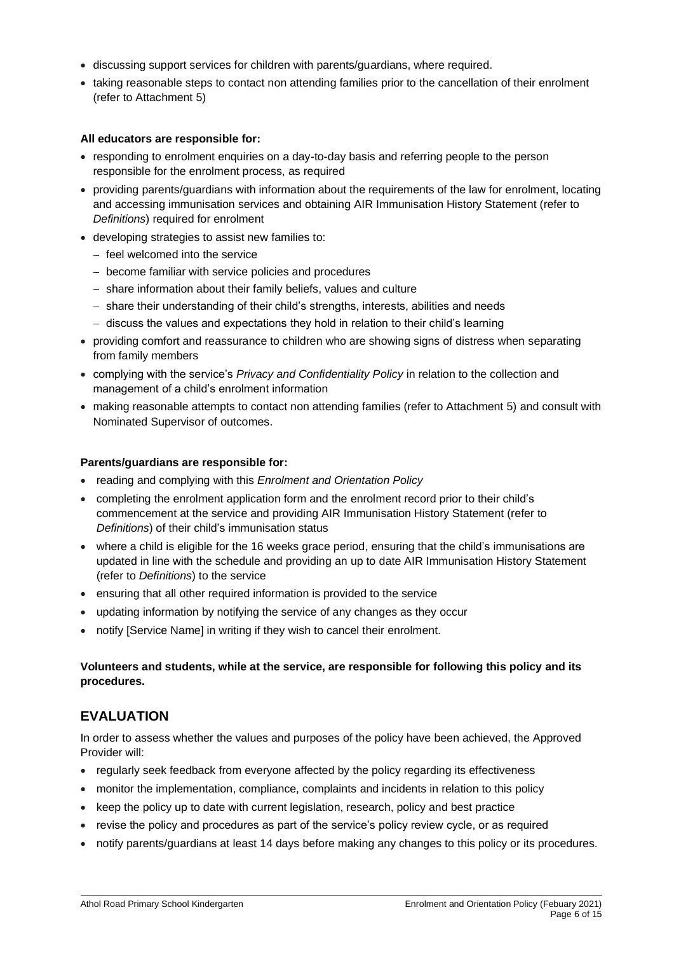- discussing support services for children with parents/guardians, where required.
- taking reasonable steps to contact non attending families prior to the cancellation of their enrolment (refer to Attachment 5)

#### **All educators are responsible for:**

- responding to enrolment enquiries on a day-to-day basis and referring people to the person responsible for the enrolment process, as required
- providing parents/guardians with information about the requirements of the law for enrolment, locating and accessing immunisation services and obtaining AIR Immunisation History Statement (refer to *Definitions*) required for enrolment
- developing strategies to assist new families to:
	- − feel welcomed into the service
	- − become familiar with service policies and procedures
	- − share information about their family beliefs, values and culture
	- − share their understanding of their child's strengths, interests, abilities and needs
	- − discuss the values and expectations they hold in relation to their child's learning
- providing comfort and reassurance to children who are showing signs of distress when separating from family members
- complying with the service's *Privacy and Confidentiality Policy* in relation to the collection and management of a child's enrolment information
- making reasonable attempts to contact non attending families (refer to Attachment 5) and consult with Nominated Supervisor of outcomes.

#### **Parents/guardians are responsible for:**

- reading and complying with this *Enrolment and Orientation Policy*
- completing the enrolment application form and the enrolment record prior to their child's commencement at the service and providing AIR Immunisation History Statement (refer to *Definitions*) of their child's immunisation status
- where a child is eligible for the 16 weeks grace period, ensuring that the child's immunisations are updated in line with the schedule and providing an up to date AIR Immunisation History Statement (refer to *Definitions*) to the service
- ensuring that all other required information is provided to the service
- updating information by notifying the service of any changes as they occur
- notify [Service Name] in writing if they wish to cancel their enrolment.

### **Volunteers and students, while at the service, are responsible for following this policy and its procedures.**

# **EVALUATION**

In order to assess whether the values and purposes of the policy have been achieved, the Approved Provider will:

- regularly seek feedback from everyone affected by the policy regarding its effectiveness
- monitor the implementation, compliance, complaints and incidents in relation to this policy
- keep the policy up to date with current legislation, research, policy and best practice
- revise the policy and procedures as part of the service's policy review cycle, or as required
- notify parents/guardians at least 14 days before making any changes to this policy or its procedures.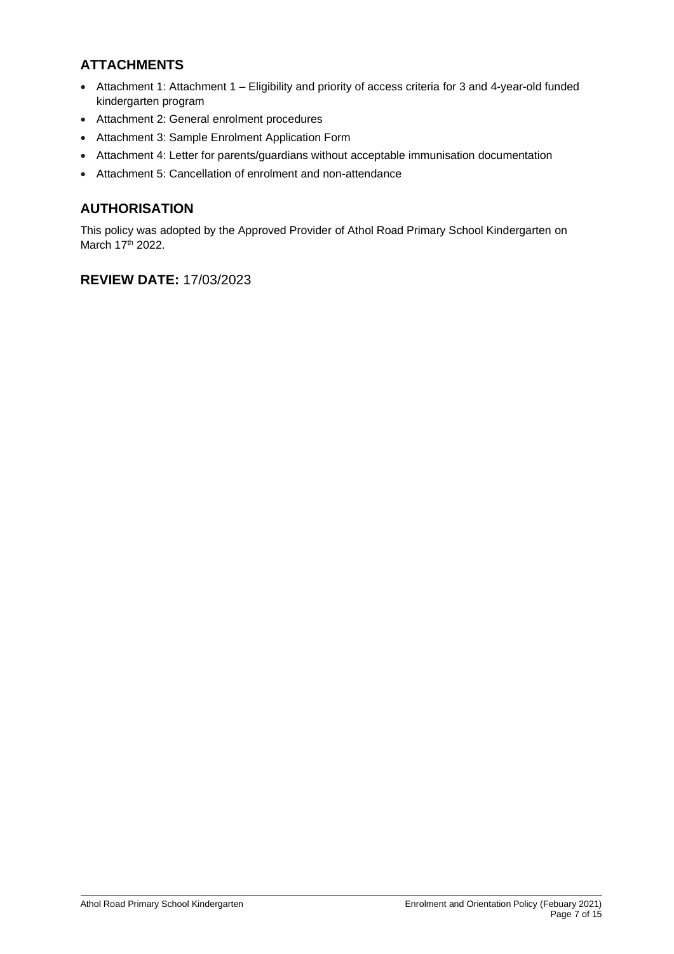# **ATTACHMENTS**

- Attachment 1: Attachment 1 Eligibility and priority of access criteria for 3 and 4-year-old funded kindergarten program
- Attachment 2: General enrolment procedures
- Attachment 3: Sample Enrolment Application Form
- Attachment 4: Letter for parents/guardians without acceptable immunisation documentation
- Attachment 5: Cancellation of enrolment and non-attendance

# **AUTHORISATION**

This policy was adopted by the Approved Provider of Athol Road Primary School Kindergarten on March 17th 2022.

# **REVIEW DATE:** 17/03/2023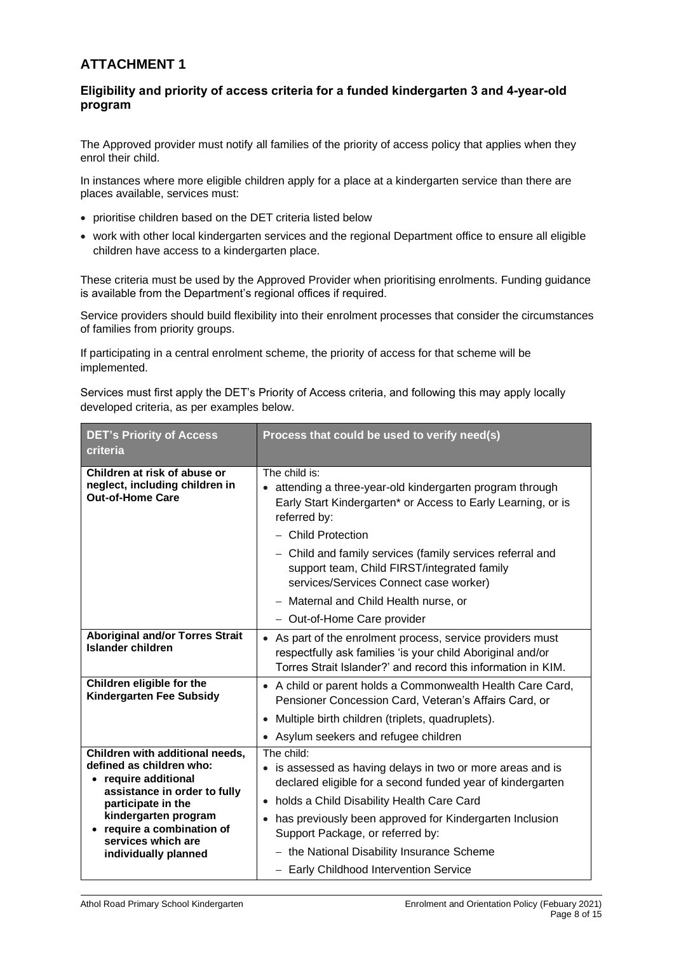# **ATTACHMENT 1**

### **Eligibility and priority of access criteria for a funded kindergarten 3 and 4-year-old program**

The Approved provider must notify all families of the priority of access policy that applies when they enrol their child.

In instances where more eligible children apply for a place at a kindergarten service than there are places available, services must:

- prioritise children based on the DET criteria listed below
- work with other local kindergarten services and the regional Department office to ensure all eligible children have access to a kindergarten place.

These criteria must be used by the Approved Provider when prioritising enrolments. Funding guidance is available from the Department's regional offices if required.

Service providers should build flexibility into their enrolment processes that consider the circumstances of families from priority groups.

If participating in a central enrolment scheme, the priority of access for that scheme will be implemented.

Services must first apply the DET's Priority of Access criteria, and following this may apply locally developed criteria, as per examples below.

| <b>DET's Priority of Access</b><br>criteria                                                                                                                                                                                               | Process that could be used to verify need(s)                                                                                                                                                                                                                                           |  |
|-------------------------------------------------------------------------------------------------------------------------------------------------------------------------------------------------------------------------------------------|----------------------------------------------------------------------------------------------------------------------------------------------------------------------------------------------------------------------------------------------------------------------------------------|--|
| Children at risk of abuse or<br>neglect, including children in<br><b>Out-of-Home Care</b>                                                                                                                                                 | The child is:<br>• attending a three-year-old kindergarten program through<br>Early Start Kindergarten* or Access to Early Learning, or is<br>referred by:<br>- Child Protection                                                                                                       |  |
|                                                                                                                                                                                                                                           | - Child and family services (family services referral and<br>support team, Child FIRST/integrated family<br>services/Services Connect case worker)                                                                                                                                     |  |
|                                                                                                                                                                                                                                           | - Maternal and Child Health nurse, or                                                                                                                                                                                                                                                  |  |
|                                                                                                                                                                                                                                           | - Out-of-Home Care provider                                                                                                                                                                                                                                                            |  |
| <b>Aboriginal and/or Torres Strait</b><br>Islander children                                                                                                                                                                               | • As part of the enrolment process, service providers must<br>respectfully ask families 'is your child Aboriginal and/or<br>Torres Strait Islander?' and record this information in KIM.                                                                                               |  |
| Children eligible for the<br>Kindergarten Fee Subsidy                                                                                                                                                                                     | • A child or parent holds a Commonwealth Health Care Card,<br>Pensioner Concession Card, Veteran's Affairs Card, or                                                                                                                                                                    |  |
|                                                                                                                                                                                                                                           | • Multiple birth children (triplets, quadruplets).                                                                                                                                                                                                                                     |  |
|                                                                                                                                                                                                                                           | • Asylum seekers and refugee children                                                                                                                                                                                                                                                  |  |
| Children with additional needs,<br>defined as children who:<br>require additional<br>assistance in order to fully<br>participate in the<br>kindergarten program<br>require a combination of<br>services which are<br>individually planned | The child:<br>• is assessed as having delays in two or more areas and is<br>declared eligible for a second funded year of kindergarten<br>• holds a Child Disability Health Care Card<br>• has previously been approved for Kindergarten Inclusion<br>Support Package, or referred by: |  |
|                                                                                                                                                                                                                                           | - the National Disability Insurance Scheme<br>- Early Childhood Intervention Service                                                                                                                                                                                                   |  |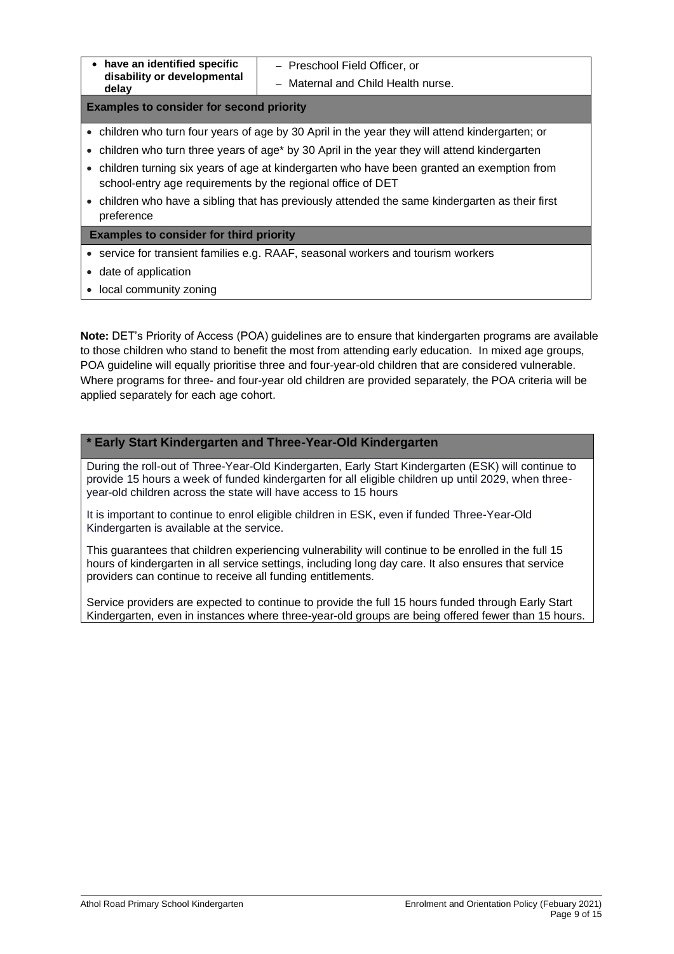− Preschool Field Officer, or

− Maternal and Child Health nurse.

**Examples to consider for second priority**

- children who turn four years of age by 30 April in the year they will attend kindergarten; or
- children who turn three years of age\* by 30 April in the year they will attend kindergarten
- children turning six years of age at kindergarten who have been granted an exemption from school-entry age requirements by the regional office of DET
- children who have a sibling that has previously attended the same kindergarten as their first preference

**Examples to consider for third priority** 

- service for transient families e.g. RAAF, seasonal workers and tourism workers
- date of application
- local community zoning

**Note:** DET's Priority of Access (POA) guidelines are to ensure that kindergarten programs are available to those children who stand to benefit the most from attending early education. In mixed age groups, POA guideline will equally prioritise three and four-year-old children that are considered vulnerable. Where programs for three- and four-year old children are provided separately, the POA criteria will be applied separately for each age cohort.

### **\* Early Start Kindergarten and Three-Year-Old Kindergarten**

During the roll-out of Three-Year-Old Kindergarten, Early Start Kindergarten (ESK) will continue to provide 15 hours a week of funded kindergarten for all eligible children up until 2029, when threeyear-old children across the state will have access to 15 hours

It is important to continue to enrol eligible children in ESK, even if funded Three-Year-Old Kindergarten is available at the service.

This guarantees that children experiencing vulnerability will continue to be enrolled in the full 15 hours of kindergarten in all service settings, including long day care. It also ensures that service providers can continue to receive all funding entitlements.

Service providers are expected to continue to provide the full 15 hours funded through Early Start Kindergarten, even in instances where three-year-old groups are being offered fewer than 15 hours.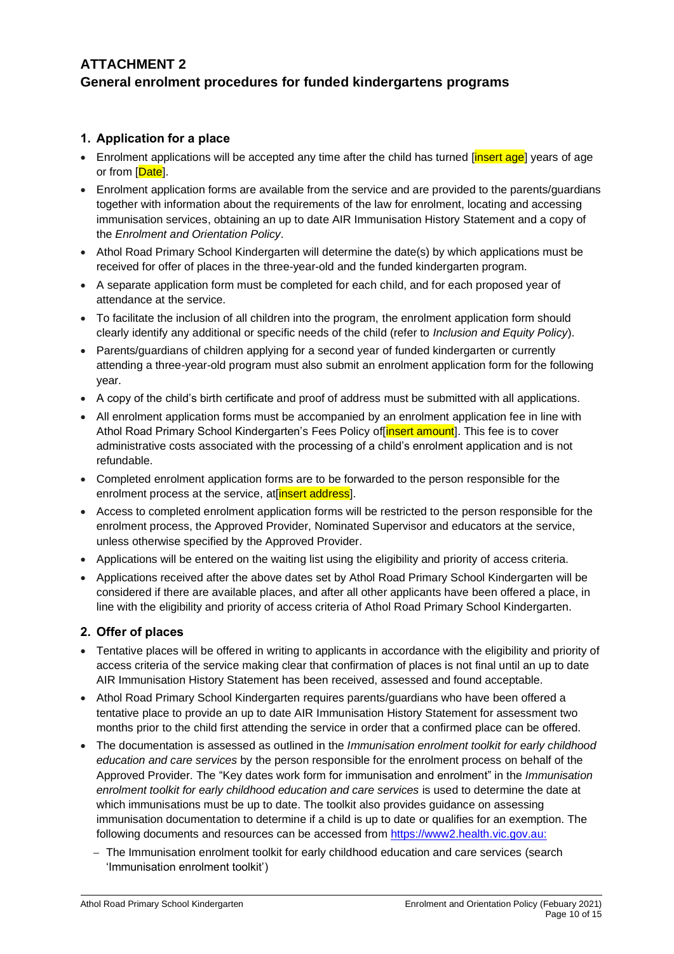# **ATTACHMENT 2 General enrolment procedures for funded kindergartens programs**

## **1. Application for a place**

- Enrolment applications will be accepted any time after the child has turned linsert agel years of age or from [Date].
- Enrolment application forms are available from the service and are provided to the parents/guardians together with information about the requirements of the law for enrolment, locating and accessing immunisation services, obtaining an up to date AIR Immunisation History Statement and a copy of the *Enrolment and Orientation Policy*.
- Athol Road Primary School Kindergarten will determine the date(s) by which applications must be received for offer of places in the three-year-old and the funded kindergarten program.
- A separate application form must be completed for each child, and for each proposed year of attendance at the service.
- To facilitate the inclusion of all children into the program, the enrolment application form should clearly identify any additional or specific needs of the child (refer to *Inclusion and Equity Policy*).
- Parents/guardians of children applying for a second year of funded kindergarten or currently attending a three-year-old program must also submit an enrolment application form for the following year.
- A copy of the child's birth certificate and proof of address must be submitted with all applications.
- All enrolment application forms must be accompanied by an enrolment application fee in line with Athol Road Primary School Kindergarten's Fees Policy of linsert amount]. This fee is to cover administrative costs associated with the processing of a child's enrolment application and is not refundable.
- Completed enrolment application forms are to be forwarded to the person responsible for the enrolment process at the service, at insert address.
- Access to completed enrolment application forms will be restricted to the person responsible for the enrolment process, the Approved Provider, Nominated Supervisor and educators at the service, unless otherwise specified by the Approved Provider.
- Applications will be entered on the waiting list using the eligibility and priority of access criteria.
- Applications received after the above dates set by Athol Road Primary School Kindergarten will be considered if there are available places, and after all other applicants have been offered a place, in line with the eligibility and priority of access criteria of Athol Road Primary School Kindergarten.

## **2. Offer of places**

- Tentative places will be offered in writing to applicants in accordance with the eligibility and priority of access criteria of the service making clear that confirmation of places is not final until an up to date AIR Immunisation History Statement has been received, assessed and found acceptable.
- Athol Road Primary School Kindergarten requires parents/guardians who have been offered a tentative place to provide an up to date AIR Immunisation History Statement for assessment two months prior to the child first attending the service in order that a confirmed place can be offered.
- The documentation is assessed as outlined in the *Immunisation enrolment toolkit for early childhood education and care services* by the person responsible for the enrolment process on behalf of the Approved Provider. The "Key dates work form for immunisation and enrolment" in the *Immunisation enrolment toolkit for early childhood education and care services* is used to determine the date at which immunisations must be up to date. The toolkit also provides guidance on assessing immunisation documentation to determine if a child is up to date or qualifies for an exemption. The following documents and resources can be accessed from [https://www2.health.vic.gov.au:](https://www2.health.vic.gov.au/)
	- − The Immunisation enrolment toolkit for early childhood education and care services (search 'Immunisation enrolment toolkit')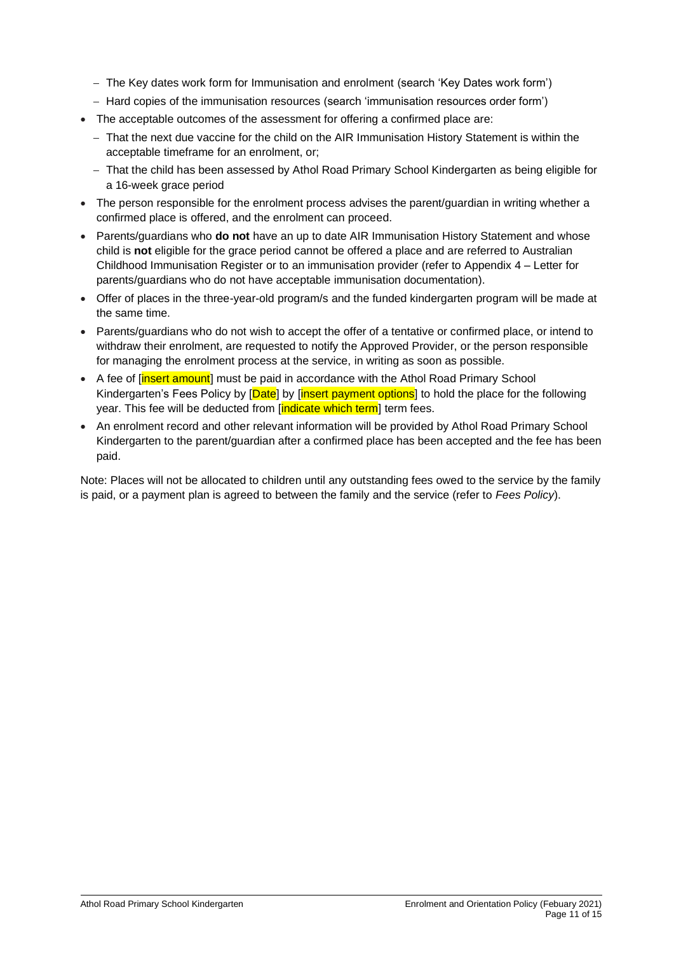- − The Key dates work form for Immunisation and enrolment (search 'Key Dates work form')
- − Hard copies of the immunisation resources (search 'immunisation resources order form')
- The acceptable outcomes of the assessment for offering a confirmed place are:
	- − That the next due vaccine for the child on the AIR Immunisation History Statement is within the acceptable timeframe for an enrolment, or;
	- − That the child has been assessed by Athol Road Primary School Kindergarten as being eligible for a 16-week grace period
- The person responsible for the enrolment process advises the parent/quardian in writing whether a confirmed place is offered, and the enrolment can proceed.
- Parents/guardians who **do not** have an up to date AIR Immunisation History Statement and whose child is **not** eligible for the grace period cannot be offered a place and are referred to Australian Childhood Immunisation Register or to an immunisation provider (refer to Appendix 4 – Letter for parents/guardians who do not have acceptable immunisation documentation).
- Offer of places in the three-year-old program/s and the funded kindergarten program will be made at the same time.
- Parents/guardians who do not wish to accept the offer of a tentative or confirmed place, or intend to withdraw their enrolment, are requested to notify the Approved Provider, or the person responsible for managing the enrolment process at the service, in writing as soon as possible.
- A fee of [insert amount] must be paid in accordance with the Athol Road Primary School Kindergarten's Fees Policy by [Date] by [insert payment options] to hold the place for the following year. This fee will be deducted from [indicate which term] term fees.
- An enrolment record and other relevant information will be provided by Athol Road Primary School Kindergarten to the parent/guardian after a confirmed place has been accepted and the fee has been paid.

Note: Places will not be allocated to children until any outstanding fees owed to the service by the family is paid, or a payment plan is agreed to between the family and the service (refer to *Fees Policy*).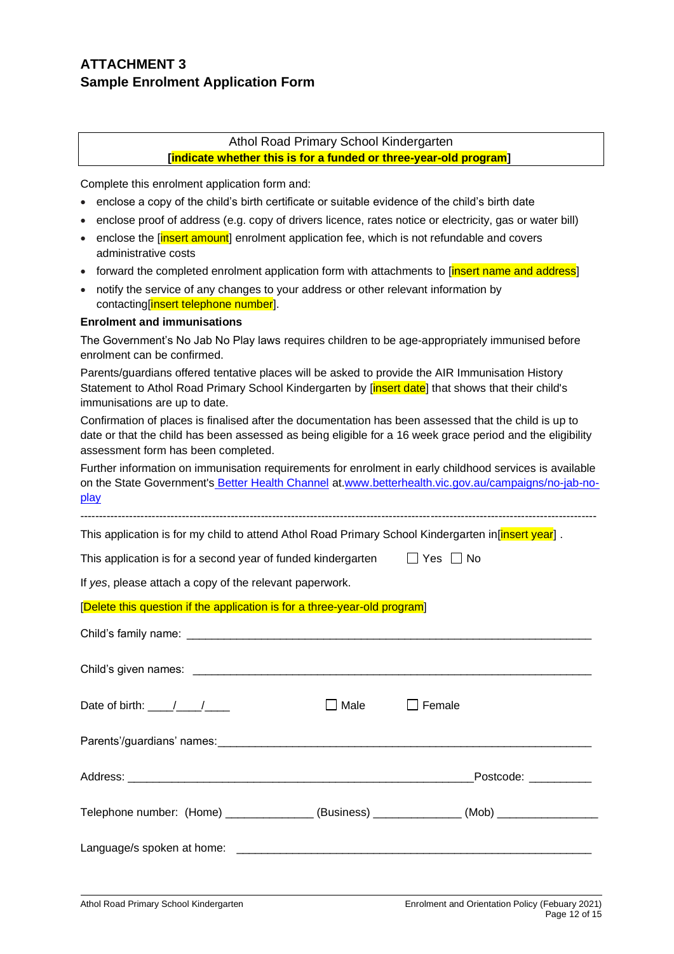# **ATTACHMENT 3 Sample Enrolment Application Form**

## Athol Road Primary School Kindergarten

**[indicate whether this is for a funded or three-year-old program]** 

Complete this enrolment application form and:

- enclose a copy of the child's birth certificate or suitable evidence of the child's birth date
- enclose proof of address (e.g. copy of drivers licence, rates notice or electricity, gas or water bill)
- enclose the **[insert amount**] enrolment application fee, which is not refundable and covers administrative costs
- forward the completed enrolment application form with attachments to [insert name and address]
- notify the service of any changes to your address or other relevant information by contacting[insert telephone number].

#### **Enrolment and immunisations**

The Government's No Jab No Play laws requires children to be age-appropriately immunised before enrolment can be confirmed.

Parents/guardians offered tentative places will be asked to provide the AIR Immunisation History Statement to Athol Road Primary School Kindergarten by *[insert date]* that shows that their child's immunisations are up to date.

Confirmation of places is finalised after the documentation has been assessed that the child is up to date or that the child has been assessed as being eligible for a 16 week grace period and the eligibility assessment form has been completed.

Further information on immunisation requirements for enrolment in early childhood services is available on the State Government's [Better Health Channel](https://www.betterhealth.vic.gov.au/) at[.www.betterhealth.vic.gov.au/campaigns/no-jab-no](https://www.betterhealth.vic.gov.au/campaigns/no-jab-no-play)[play](https://www.betterhealth.vic.gov.au/campaigns/no-jab-no-play)

-----------------------------------------------------------------------------------------------------------------------------------------

This application is for my child to attend Athol Road Primary School Kindergarten in[insert year].

| This application is for a second year of funded kindergarten | $\Box$ Yes $\Box$ No |
|--------------------------------------------------------------|----------------------|
|                                                              |                      |

If *yes*, please attach a copy of the relevant paperwork.

#### [Delete this question if the application is for a three-year-old program]

| Date of birth: $\frac{1}{2}$                                                      | Male | I Female             |
|-----------------------------------------------------------------------------------|------|----------------------|
|                                                                                   |      |                      |
|                                                                                   |      | Postcode: __________ |
| Telephone number: (Home) ______________(Business) _____________(Mob) ____________ |      |                      |
|                                                                                   |      |                      |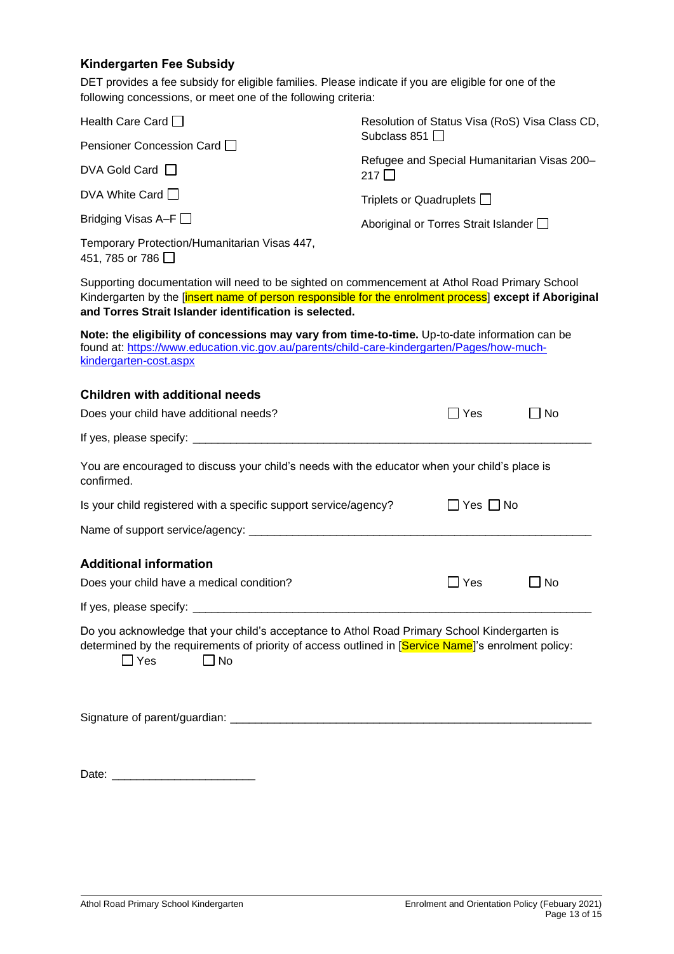# **Kindergarten Fee Subsidy**

DET provides a fee subsidy for eligible families. Please indicate if you are eligible for one of the following concessions, or meet one of the following criteria:

| Health Care Card $\Box$                                                                                                                                                                                                                                           | Resolution of Status Visa (RoS) Visa Class CD,               |           |  |
|-------------------------------------------------------------------------------------------------------------------------------------------------------------------------------------------------------------------------------------------------------------------|--------------------------------------------------------------|-----------|--|
| Pensioner Concession Card                                                                                                                                                                                                                                         | Subclass 851 $\Box$                                          |           |  |
| DVA Gold Card $\Box$                                                                                                                                                                                                                                              | Refugee and Special Humanitarian Visas 200-<br>217 $\square$ |           |  |
| DVA White Card $\Box$                                                                                                                                                                                                                                             | Triplets or Quadruplets $\Box$                               |           |  |
| Bridging Visas A–F                                                                                                                                                                                                                                                | Aboriginal or Torres Strait Islander [                       |           |  |
| Temporary Protection/Humanitarian Visas 447,<br>451, 785 or 786 <b>□</b>                                                                                                                                                                                          |                                                              |           |  |
| Supporting documentation will need to be sighted on commencement at Athol Road Primary School<br>Kindergarten by the [insert name of person responsible for the enrolment process] except if Aboriginal<br>and Torres Strait Islander identification is selected. |                                                              |           |  |
| Note: the eligibility of concessions may vary from time-to-time. Up-to-date information can be<br>found at: https://www.education.vic.gov.au/parents/child-care-kindergarten/Pages/how-much-<br>kindergarten-cost.aspx                                            |                                                              |           |  |
| <b>Children with additional needs</b>                                                                                                                                                                                                                             |                                                              |           |  |
| Does your child have additional needs?                                                                                                                                                                                                                            | $\Box$ Yes                                                   | $\Box$ No |  |
|                                                                                                                                                                                                                                                                   |                                                              |           |  |
| You are encouraged to discuss your child's needs with the educator when your child's place is<br>confirmed.                                                                                                                                                       |                                                              |           |  |
| Is your child registered with a specific support service/agency?                                                                                                                                                                                                  | $\Box$ Yes $\Box$ No                                         |           |  |
|                                                                                                                                                                                                                                                                   |                                                              |           |  |
| <b>Additional information</b>                                                                                                                                                                                                                                     |                                                              |           |  |
| Does your child have a medical condition?                                                                                                                                                                                                                         | $\Box$ Yes                                                   | _l No     |  |
|                                                                                                                                                                                                                                                                   |                                                              |           |  |
| Do you acknowledge that your child's acceptance to Athol Road Primary School Kindergarten is<br>determined by the requirements of priority of access outlined in [Service Name]'s enrolment policy:<br>$\exists$ Yes<br>$\square$ No                              |                                                              |           |  |
|                                                                                                                                                                                                                                                                   |                                                              |           |  |
| Date:                                                                                                                                                                                                                                                             |                                                              |           |  |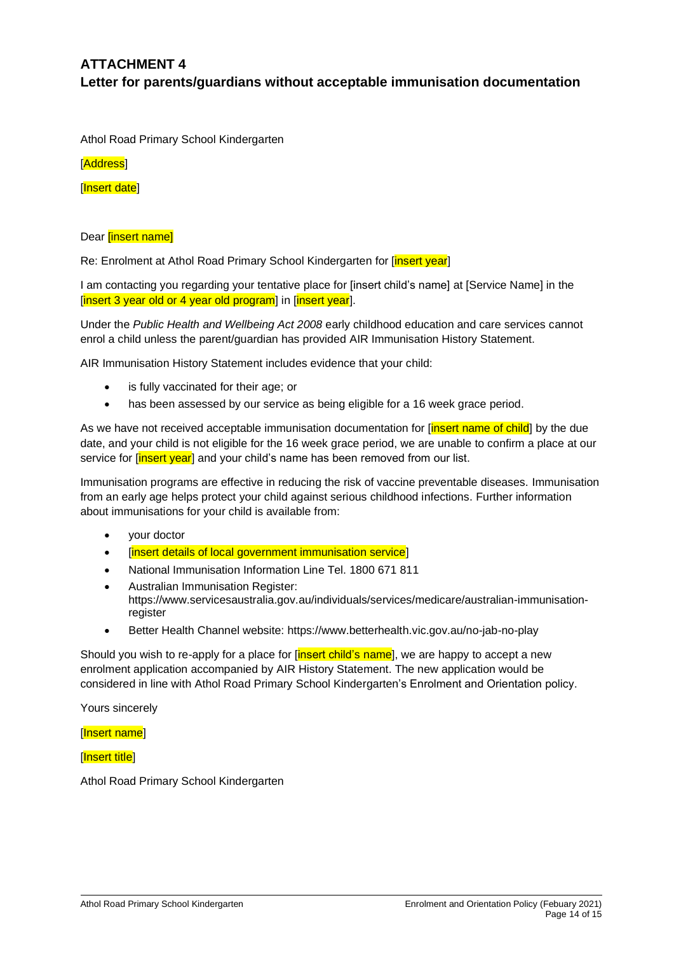# **ATTACHMENT 4 Letter for parents/guardians without acceptable immunisation documentation**

Athol Road Primary School Kindergarten

[Address]

[Insert date]

#### Dear [insert name]

Re: Enrolment at Athol Road Primary School Kindergarten for [insert year]

I am contacting you regarding your tentative place for [insert child's name] at [Service Name] in the [insert 3 year old or 4 year old program] in [insert year].

Under the *Public Health and Wellbeing Act 2008* early childhood education and care services cannot enrol a child unless the parent/guardian has provided AIR Immunisation History Statement.

AIR Immunisation History Statement includes evidence that your child:

- is fully vaccinated for their age; or
- has been assessed by our service as being eligible for a 16 week grace period.

As we have not received acceptable immunisation documentation for [*insert name of child*] by the due date, and your child is not eligible for the 16 week grace period, we are unable to confirm a place at our service for [insert year] and your child's name has been removed from our list.

Immunisation programs are effective in reducing the risk of vaccine preventable diseases. Immunisation from an early age helps protect your child against serious childhood infections. Further information about immunisations for your child is available from:

- your doctor
- [insert details of local government immunisation service]
- National Immunisation Information Line Tel. 1800 671 811
- Australian Immunisation Register: https://www.servicesaustralia.gov.au/individuals/services/medicare/australian-immunisationregister
- Better Health Channel website:<https://www.betterhealth.vic.gov.au/no-jab-no-play>

Should you wish to re-apply for a place for [insert child's name], we are happy to accept a new enrolment application accompanied by AIR History Statement. The new application would be considered in line with Athol Road Primary School Kindergarten's Enrolment and Orientation policy.

Yours sincerely

[Insert name]

[Insert title]

Athol Road Primary School Kindergarten